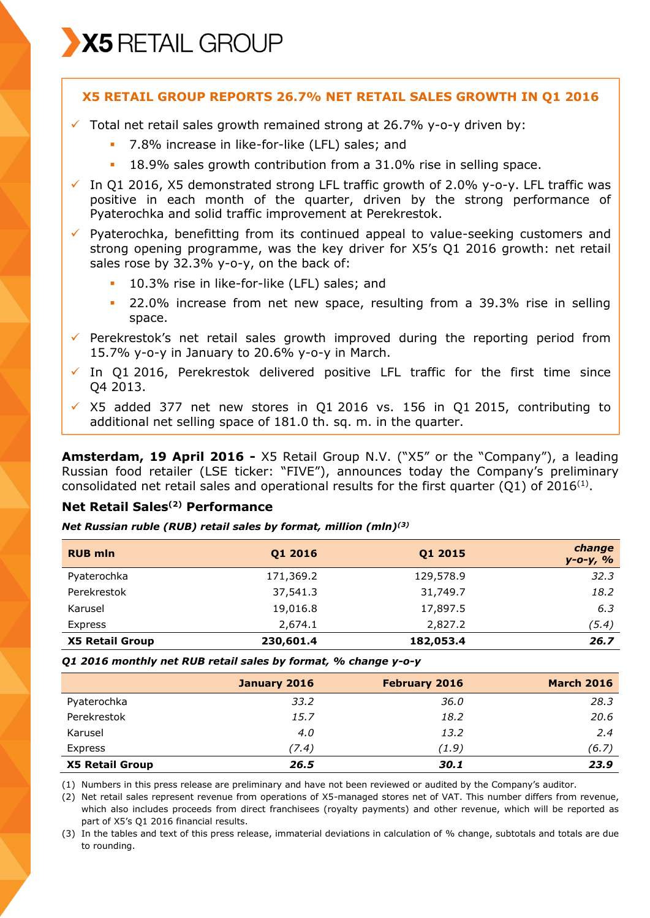

## **X5 RETAIL GROUP REPORTS 26.7% NET RETAIL SALES GROWTH IN Q1 2016**

- $\checkmark$  Total net retail sales growth remained strong at 26.7% y-o-y driven by:
	- 7.8% increase in like-for-like (LFL) sales; and
	- 18.9% sales growth contribution from a 31.0% rise in selling space.
- $\checkmark$  In Q1 2016, X5 demonstrated strong LFL traffic growth of 2.0% y-o-y. LFL traffic was positive in each month of the quarter, driven by the strong performance of Pyaterochka and solid traffic improvement at Perekrestok.

 $\checkmark$  Pyaterochka, benefitting from its continued appeal to value-seeking customers and strong opening programme, was the key driver for X5's Q1 2016 growth: net retail sales rose by 32.3% y-o-y, on the back of:

- 10.3% rise in like-for-like (LFL) sales; and
- 22.0% increase from net new space, resulting from a 39.3% rise in selling space.
- $\checkmark$  Perekrestok's net retail sales growth improved during the reporting period from 15.7% y-o-y in January to 20.6% y-o-y in March.
- $\checkmark$  In Q1 2016, Perekrestok delivered positive LFL traffic for the first time since Q4 2013.
- $\times$  X5 added 377 net new stores in Q1 2016 vs. 156 in Q1 2015, contributing to additional net selling space of 181.0 th. sq. m. in the quarter.

**Amsterdam, 19 April 2016 -** X5 Retail Group N.V. ("X5" or the "Company"), a leading Russian food retailer (LSE ticker: "FIVE"), announces today the Company's preliminary consolidated net retail sales and operational results for the first quarter (Q1) of 2016<sup>(1)</sup>.

# **Net Retail Sales(2) Performance**

#### *Net Russian ruble (RUB) retail sales by format, million (mln)(3)*

| <b>RUB mln</b>         | Q1 2016   | Q1 2015   | change<br>$y - 0 - y$ , % |
|------------------------|-----------|-----------|---------------------------|
| Pyaterochka            | 171,369.2 | 129,578.9 | 32.3                      |
| Perekrestok            | 37,541.3  | 31,749.7  | 18.2                      |
| Karusel                | 19,016.8  | 17,897.5  | 6.3                       |
| Express                | 2,674.1   | 2,827.2   | (5.4)                     |
| <b>X5 Retail Group</b> | 230,601.4 | 182,053.4 | 26.7                      |

*Q1 2016 monthly net RUB retail sales by format, % change y-o-y* 

|                        | January 2016 | <b>February 2016</b> | <b>March 2016</b> |
|------------------------|--------------|----------------------|-------------------|
| Pyaterochka            | 33.2         | 36.0                 | 28.3              |
| Perekrestok            | 15.7         | 18.2                 | 20.6              |
| Karusel                | 4.0          | 13.2                 | 2.4               |
| Express                | (7.4)        | (1.9)                | (6.7)             |
| <b>X5 Retail Group</b> | 26.5         | 30.1                 | 23.9              |

(1) Numbers in this press release are preliminary and have not been reviewed or audited by the Company's auditor.

(2) Net retail sales represent revenue from operations of X5-managed stores net of VAT. This number differs from revenue, which also includes proceeds from direct franchisees (royalty payments) and other revenue, which will be reported as part of X5's Q1 2016 financial results.

(3) In the tables and text of this press release, immaterial deviations in calculation of % change, subtotals and totals are due to rounding.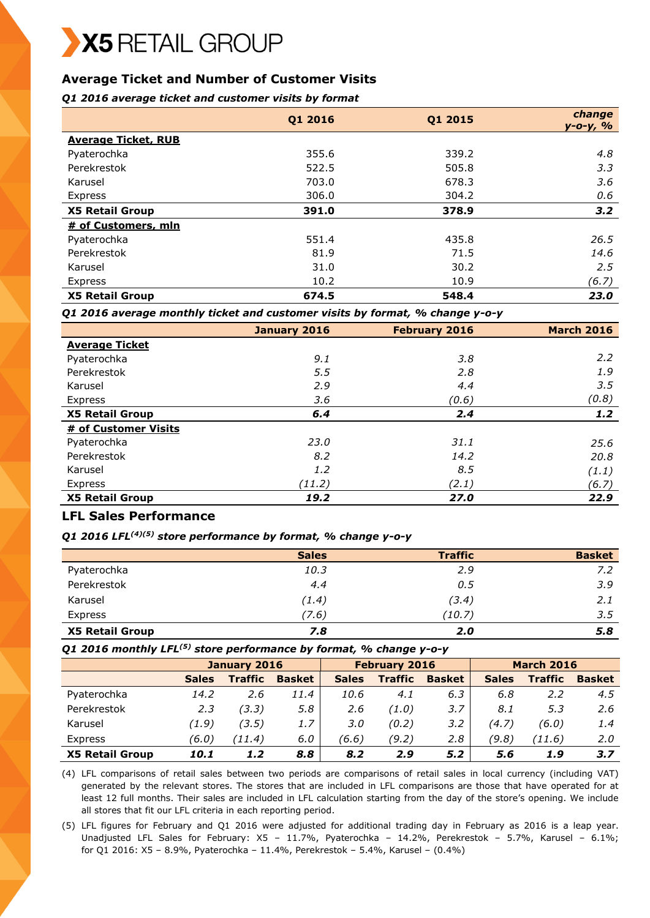# **Average Ticket and Number of Customer Visits**

### *Q1 2016 average ticket and customer visits by format*

|                            | Q1 2016 | Q1 2015 | change<br>$y - 0 - y, %$ |
|----------------------------|---------|---------|--------------------------|
| <b>Average Ticket, RUB</b> |         |         |                          |
| Pyaterochka                | 355.6   | 339.2   | 4.8                      |
| Perekrestok                | 522.5   | 505.8   | 3.3                      |
| Karusel                    | 703.0   | 678.3   | 3.6                      |
| Express                    | 306.0   | 304.2   | 0.6                      |
| <b>X5 Retail Group</b>     | 391.0   | 378.9   | 3.2                      |
| # of Customers, mln        |         |         |                          |
| Pyaterochka                | 551.4   | 435.8   | 26.5                     |
| Perekrestok                | 81.9    | 71.5    | 14.6                     |
| Karusel                    | 31.0    | 30.2    | 2.5                      |
| Express                    | 10.2    | 10.9    | (6.7)                    |
| <b>X5 Retail Group</b>     | 674.5   | 548.4   | 23.0                     |

*Q1 2016 average monthly ticket and customer visits by format, % change y-o-y*

|                        | January 2016 | <b>February 2016</b> | <b>March 2016</b> |
|------------------------|--------------|----------------------|-------------------|
| <b>Average Ticket</b>  |              |                      |                   |
| Pyaterochka            | 9.1          | 3.8                  | $2.2^{\circ}$     |
| Perekrestok            | 5.5          | 2.8                  | 1.9               |
| Karusel                | 2.9          | 4.4                  | 3.5               |
| Express                | 3.6          | (0.6)                | (0.8)             |
| <b>X5 Retail Group</b> | 6,4          | 2.4                  | 1.2 <sub>2</sub>  |
| # of Customer Visits   |              |                      |                   |
| Pyaterochka            | 23.0         | 31.1                 | 25.6              |
| Perekrestok            | 8.2          | 14.2                 | 20.8              |
| Karusel                | 1.2          | 8.5                  | (1.1)             |
| Express                | (11.2)       | (2.1)                | (6.7)             |
| <b>X5 Retail Group</b> | 19.2         | 27.0                 | 22.9              |

### **LFL Sales Performance**

### *Q1 2016 LFL(4)(5) store performance by format, % change y-o-y*

|                        | <b>Sales</b> | <b>Traffic</b> | <b>Basket</b> |
|------------------------|--------------|----------------|---------------|
| Pyaterochka            | 10.3         | 2.9            | 7.2           |
| Perekrestok            | 4.4          | 0.5            | 3.9           |
| Karusel                | (1.4)        | (3.4)          | 2.1           |
| Express                | 7.6)         | (10.7)         | 3.5           |
| <b>X5 Retail Group</b> | 7.8          | 2.0            | 5.8           |

### *Q1 2016 monthly LFL(5) store performance by format, % change y-o-y*

|                        | January 2016 |                | <b>February 2016</b> |              |                | <b>March 2016</b> |              |                |               |
|------------------------|--------------|----------------|----------------------|--------------|----------------|-------------------|--------------|----------------|---------------|
|                        | <b>Sales</b> | <b>Traffic</b> | <b>Basket</b>        | <b>Sales</b> | <b>Traffic</b> | <b>Basket</b>     | <b>Sales</b> | <b>Traffic</b> | <b>Basket</b> |
| Pyaterochka            | 14.2         | 2.6            | 11.4                 | 10.6         | 4.1            | 6.3               | 6.8          | 2.2            | 4.5           |
| Perekrestok            | 2.3          | (3.3)          | 5.8                  | 2.6          | (1.0)          | 3.7               | 8.1          | 5.3            | 2.6           |
| Karusel                | (1.9)        | (3.5)          | 1.7                  | 3.0          | (0.2)          | 3.2               | (4.7)        | (6.0)          | 1.4           |
| Express                | (6.0)        | (11.4)         | 6.0                  | (6.6)        | (9.2)          | 2.8               | (9.8)        | (11.6)         | 2.0           |
| <b>X5 Retail Group</b> | 10.1         | 1.2            | 8.8                  | 8.2          | 2.9            | 5.2               | 5.6          | 1.9            | 3.7           |

(4) LFL comparisons of retail sales between two periods are comparisons of retail sales in local currency (including VAT) generated by the relevant stores. The stores that are included in LFL comparisons are those that have operated for at least 12 full months. Their sales are included in LFL calculation starting from the day of the store's opening. We include all stores that fit our LFL criteria in each reporting period.

(5) LFL figures for February and Q1 2016 were adjusted for additional trading day in February as 2016 is a leap year. Unadjusted LFL Sales for February: X5 – 11.7%, Pyaterochka – 14.2%, Perekrestok – 5.7%, Karusel – 6.1%; for Q1 2016: X5 – 8.9%, Pyaterochka – 11.4%, Perekrestok – 5.4%, Karusel – (0.4%)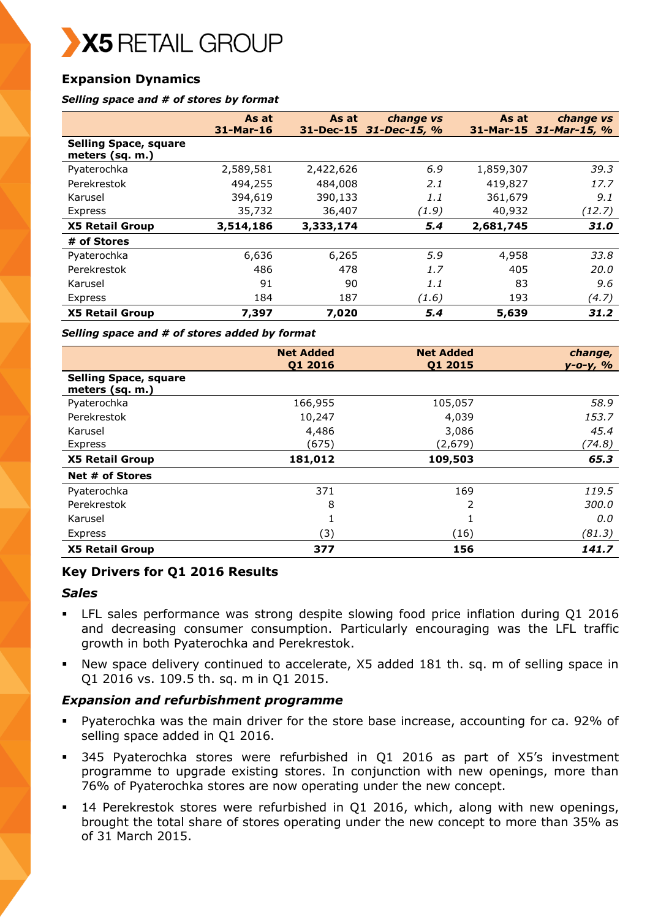X5 RETAIL GROUP

# **Expansion Dynamics**

#### *Selling space and # of stores by format*

|                                                 | As at     | As at     | change vs              | As at       | change vs       |
|-------------------------------------------------|-----------|-----------|------------------------|-------------|-----------------|
|                                                 | 31-Mar-16 |           | 31-Dec-15 31-Dec-15, % | $31-Mar-15$ | $31$ -Mar-15, % |
| <b>Selling Space, square</b><br>meters (sq. m.) |           |           |                        |             |                 |
| Pyaterochka                                     | 2,589,581 | 2,422,626 | 6.9                    | 1,859,307   | 39.3            |
| Perekrestok                                     | 494,255   | 484,008   | 2.1                    | 419,827     | 17.7            |
| Karusel                                         | 394,619   | 390,133   | 1.1                    | 361,679     | 9.1             |
| Express                                         | 35,732    | 36,407    | (1.9)                  | 40,932      | (12.7)          |
| <b>X5 Retail Group</b>                          | 3,514,186 | 3,333,174 | 5.4                    | 2,681,745   | 31.0            |
| # of Stores                                     |           |           |                        |             |                 |
| Pyaterochka                                     | 6,636     | 6,265     | 5.9                    | 4,958       | 33.8            |
| Perekrestok                                     | 486       | 478       | 1.7                    | 405         | 20.0            |
| Karusel                                         | 91        | 90        | 1.1                    | 83          | 9.6             |
| Express                                         | 184       | 187       | (1.6)                  | 193         | (4.7)           |
| <b>X5 Retail Group</b>                          | 7,397     | 7,020     | 5.4                    | 5,639       | 31.2            |

*Selling space and # of stores added by format*

|                                                 | <b>Net Added</b><br>Q1 2016 | <b>Net Added</b><br>Q1 2015 | change,<br>y-o-y, % |
|-------------------------------------------------|-----------------------------|-----------------------------|---------------------|
| <b>Selling Space, square</b><br>meters (sq. m.) |                             |                             |                     |
| Pyaterochka                                     | 166,955                     | 105,057                     | 58.9                |
| Perekrestok                                     | 10,247                      | 4,039                       | 153.7               |
| Karusel                                         | 4,486                       | 3,086                       | 45.4                |
| Express                                         | (675)                       | (2,679)                     | (74.8)              |
| <b>X5 Retail Group</b>                          | 181,012                     | 109,503                     | 65.3                |
| Net # of Stores                                 |                             |                             |                     |
| Pyaterochka                                     | 371                         | 169                         | 119.5               |
| Perekrestok                                     | 8                           | 2                           | 300.0               |
| Karusel                                         |                             | 1                           | 0.0                 |
| Express                                         | (3)                         | (16)                        | (81.3)              |
| <b>X5 Retail Group</b>                          | 377                         | 156                         | 141.7               |

### **Key Drivers for Q1 2016 Results**

### *Sales*

- LFL sales performance was strong despite slowing food price inflation during Q1 2016 and decreasing consumer consumption. Particularly encouraging was the LFL traffic growth in both Pyaterochka and Perekrestok.
- New space delivery continued to accelerate, X5 added 181 th. sq. m of selling space in Q1 2016 vs. 109.5 th. sq. m in Q1 2015.

### *Expansion and refurbishment programme*

- Pyaterochka was the main driver for the store base increase, accounting for ca. 92% of selling space added in Q1 2016.
- 345 Pyaterochka stores were refurbished in Q1 2016 as part of X5's investment programme to upgrade existing stores. In conjunction with new openings, more than 76% of Pyaterochka stores are now operating under the new concept.
- 14 Perekrestok stores were refurbished in Q1 2016, which, along with new openings, brought the total share of stores operating under the new concept to more than 35% as of 31 March 2015.